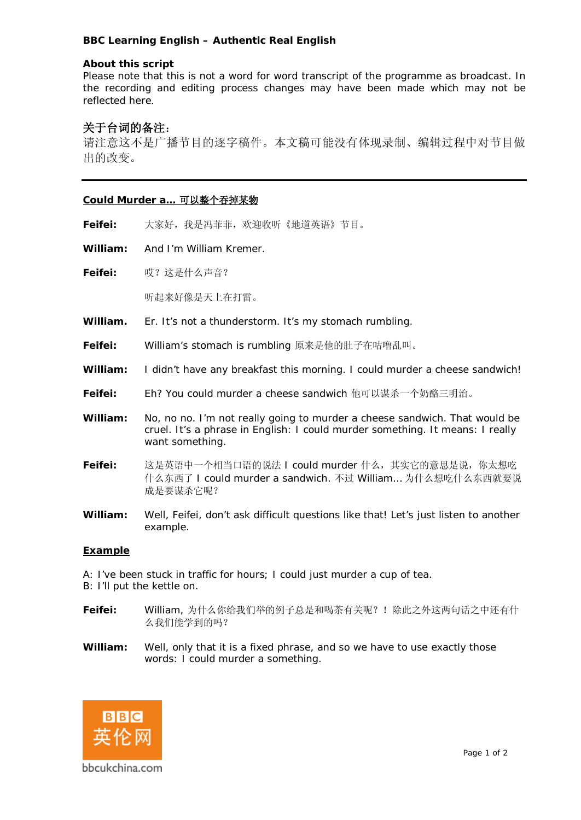# **BBC Learning English – Authentic Real English**

## **About this script**

Please note that this is not a word for word transcript of the programme as broadcast. In the recording and editing process changes may have been made which may not be reflected here.

# **关于台词的备注**:

请注意这不是广播节目的逐字稿件。本文稿可能没有体现录制、编辑过程中对节目做 出的改变。

# **Could Murder a… 可以整个吞掉某物**

**Feifei:** 大家好,我是冯菲菲,欢迎收听《地道英语》节目。

**William:** And I'm William Kremer.

**Feifei:** 哎?这是什么声音?

听起来好像是天上在打雷。

**William.** Er. It's not a thunderstorm. It's my stomach rumbling.

**Feifei:** William's stomach is rumbling 原来是他的肚子在咕噜乱叫。

- **William:** I didn't have any breakfast this morning. I could murder a cheese sandwich!
- **Feifei:** Eh? You could murder a cheese sandwich 他可以谋杀一个奶酪三明治。
- **William:** No, no no. I'm not really going to murder a cheese sandwich. That would be cruel. It's a phrase in English: I could murder something. It means: I really want something.
- **Feifei:** 这是英语中一个相当口语的说法 I could murder 什么,其实它的意思是说,你太想吃 什么东西了 I could murder a sandwich. 不过 William… 为什么想吃什么东西就要说 成是要谋杀它呢?
- **William:** Well, Feifei, don't ask difficult questions like that! Let's just listen to another example.

## **Example**

- A: I've been stuck in traffic for hours; I could just murder a cup of tea.
- B: I'll put the kettle on.
- **Feifei:** William, 为什么你给我们举的例子总是和喝茶有关呢?!除此之外这两句话之中还有什 么我们能学到的吗?
- **William:** Well, only that it is a fixed phrase, and so we have to use exactly those words: I could murder a something.